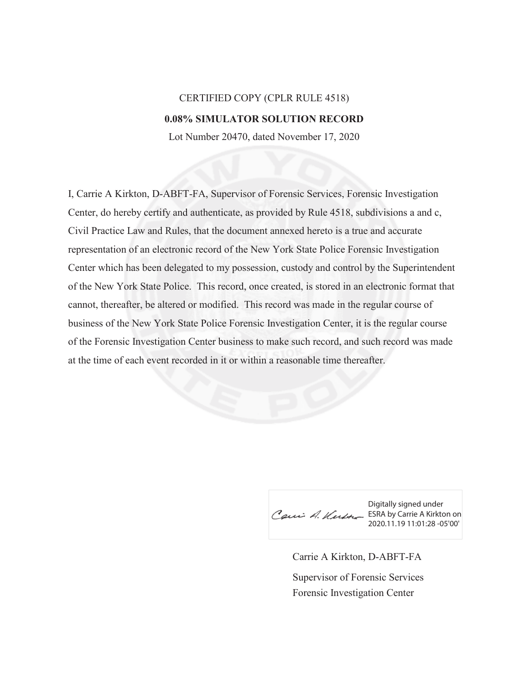## CERTIFIED COPY (CPLR RULE 4518) **0.08% SIMULATOR SOLUTION RECORD**

Lot Number 20470, dated November 17, 2020

I, Carrie A Kirkton, D-ABFT-FA, Supervisor of Forensic Services, Forensic Investigation Center, do hereby certify and authenticate, as provided by Rule 4518, subdivisions a and c, Civil Practice Law and Rules, that the document annexed hereto is a true and accurate representation of an electronic record of the New York State Police Forensic Investigation Center which has been delegated to my possession, custody and control by the Superintendent of the New York State Police. This record, once created, is stored in an electronic format that cannot, thereafter, be altered or modified. This record was made in the regular course of business of the New York State Police Forensic Investigation Center, it is the regular course of the Forensic Investigation Center business to make such record, and such record was made at the time of each event recorded in it or within a reasonable time thereafter.

Cau A. Kurth ESRA by Carrie A Kirkton on

Digitally signed under 2020.11.19 11:01:28 -05'00'

Carrie A Kirkton, D-ABFT-FA Forensic Investigation Center Supervisor of Forensic Services